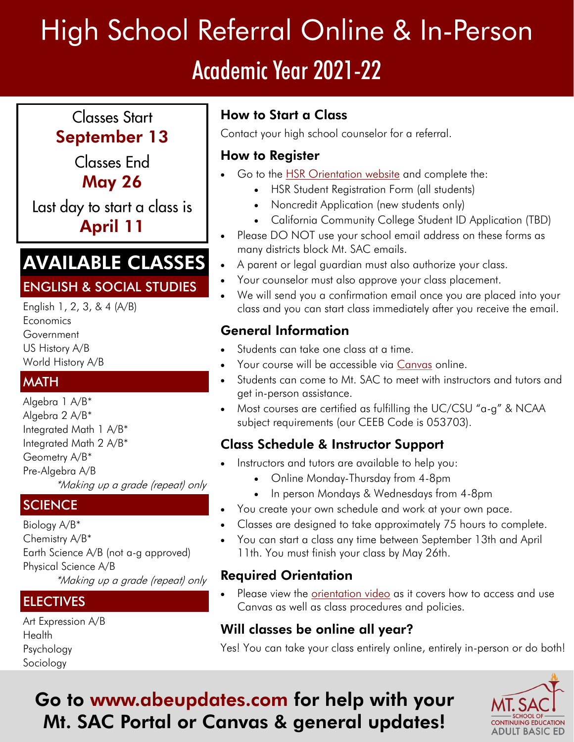# High School Referral Online & In-Person Academic Year 2021-22

## **Classes Start** September 13

Classes End May 26

Last day to start a class is April 11

## AVAILABLE CLASSES

#### ENGLISH & SOCIAL STUDIES

 English 1, 2, 3, & 4 (A/B) **Economics Government** US History A/B World History A/B

#### **MATH**

 Integrated Math 1 A/B\* Integrated Math 2 A/B\* \*Making up a grade (repeat) only Algebra 1 A/B\* Algebra 2 A/B\* Geometry A/B\* Pre-Algebra A/B

#### **SCIENCE**

 Physical Science A/B \*Making up a grade (repeat) only Biology A/B\* Chemistry A/B\* Earth Science A/B (not a-g approved)

## ELECTIVES

Art Expression A/B **Health** Psychology Sociology

## How to Start a Class

Contact your high school counselor for a referral.

#### How to Register

- Go to the **HSR** Orientation website and complete the:
	- HSR Student Registration Form (all students)
	- Noncredit Application (new students only)
	- California Community College Student ID Application (TBD)
- Please DO NOT use your school email address on these forms as many districts block Mt. SAC emails.
- A parent or legal guardian must also authorize your class.
- Your counselor must also approve your class placement.
- We will send you a confirmation email once you are placed into your class and you can start class immediately after you receive the email.

## General Information

- Students can take one class at a time.
- Your course will be accessible via [Canvas o](mtsac.instructure.com)nline.
- Students can come to Mt. SAC to meet with instructors and tutors and get in-person assistance.
- Most courses are certified as fulfilling the UC/CSU "a-g" & NCAA subject requirements (our CEEB Code is 053703).

## Class Schedule & Instructor Support

- Instructors and tutors are available to help you:
	- Online Monday-Thursday from 4-8pm
	- In person Mondays & Wednesdays from 4-8pm
- You create your own schedule and work at your own pace.
- Classes are designed to take approximately 75 hours to complete.
- You can start a class any time between September 13th and April 11th. You must finish your class by May 26th.

## Required Orientation

 Please view the [orientation video a](https://mtsac-edu.zoom.us/rec/play/zRCu_w9KHoU16xZOoAQq-zwkzFF94a8gsHIiqR_CIbndYGKR-2Lri8eOJf4VSgSAZcBgzQKPoAoTfJI.jOraPGR4xFKzMzDQ?continueMode=true&_x_zm_rtaid=I6yL_87GTbSx4Qlbys2Q9Q.1632507864918.de1e63dd6a2d5c8fb22f87cb27f652b6&_x_zm_rhtaid=344)s it covers how to access and use Canvas as well as class procedures and policies.

## Will classes be online all year?

Yes! You can take your class entirely online, entirely in-person or do both!

## Go to<www.abeupdates.com> for help with your Mt. SAC Portal or Canvas & general updates!